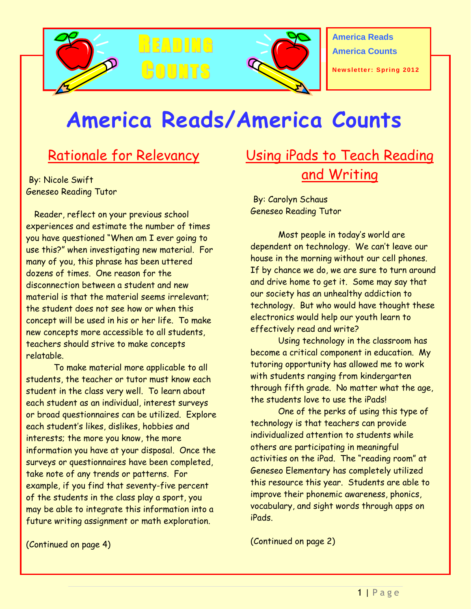

# **America Reads/America Counts**

### Rationale for Relevancy

By: Nicole Swift Geneseo Reading Tutor

 Reader, reflect on your previous school experiences and estimate the number of times you have questioned "When am I ever going to use this?" when investigating new material. For many of you, this phrase has been uttered dozens of times. One reason for the disconnection between a student and new material is that the material seems irrelevant; the student does not see how or when this concept will be used in his or her life. To make new concepts more accessible to all students, teachers should strive to make concepts relatable.

To make material more applicable to all students, the teacher or tutor must know each student in the class very well. To learn about each student as an individual, interest surveys or broad questionnaires can be utilized. Explore each student's likes, dislikes, hobbies and interests; the more you know, the more information you have at your disposal. Once the surveys or questionnaires have been completed, take note of any trends or patterns. For example, if you find that seventy-five percent of the students in the class play a sport, you may be able to integrate this information into a future writing assignment or math exploration.

## Using iPads to Teach Reading and Writing

By: Carolyn Schaus Geneseo Reading Tutor

Most people in today's world are dependent on technology. We can't leave our house in the morning without our cell phones. If by chance we do, we are sure to turn around and drive home to get it. Some may say that our society has an unhealthy addiction to technology. But who would have thought these electronics would help our youth learn to effectively read and write?

Using technology in the classroom has become a critical component in education. My tutoring opportunity has allowed me to work with students ranging from kindergarten through fifth grade. No matter what the age, the students love to use the iPads!

One of the perks of using this type of technology is that teachers can provide individualized attention to students while others are participating in meaningful activities on the iPad. The "reading room" at Geneseo Elementary has completely utilized this resource this year. Students are able to improve their phonemic awareness, phonics, vocabulary, and sight words through apps on iPads.

(Continued on page 2)

(Continued on page 4)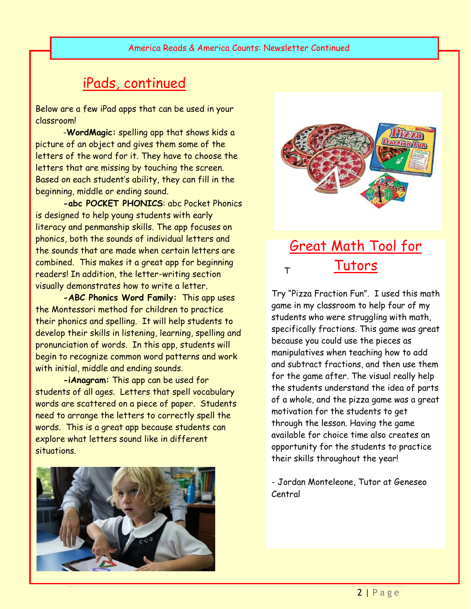#### America Reads & America Counts: Newsletter Continued America Reads & America Counts: Newsletter Continued

### iPads, continued

Below are a few iPad apps that can be used in your classroom!

-**WordMagic:** spelling app that shows kids a picture of an object and gives them some of the letters of the word for it. They have to choose the letters that are missing by touching the screen. Based on each student's ability, they can fill in the beginning, middle or ending sound.

**-abc POCKET PHONICS**: abc Pocket Phonics is designed to help young students with early literacy and penmanship skills. The app focuses on phonics, both the sounds of individual letters and the sounds that are made when certain letters are combined. This makes it a great app for beginning readers! In addition, the letter-writing section visually demonstrates how to write a letter.

**-ABC Phonics Word Family:** This app uses the Montessori method for children to practice their phonics and spelling. It will help students to develop their skills in listening, learning, spelling and pronunciation of words. In this app, students will begin to recognize common word patterns and work with initial, middle and ending sounds.

**-iAnagram:** This app can be used for students of all ages. Letters that spell vocabulary words are scattered on a piece of paper. Students need to arrange the letters to correctly spell the words. This is a great app because students can explore what letters sound like in different situations.





### T Great Math Tool for Tutors

Try "Pizza Fraction Fun". I used this math game in my classroom to help four of my students who were struggling with math, specifically fractions. This game was great because you could use the pieces as manipulatives when teaching how to add and subtract fractions, and then use them for the game after. The visual really help the students understand the idea of parts of a whole, and the pizza game was a great motivation for the students to get through the lesson. Having the game available for choice time also creates an opportunity for the students to practice their skills throughout the year!

- Jordan Monteleone, Tutor at Geneseo Central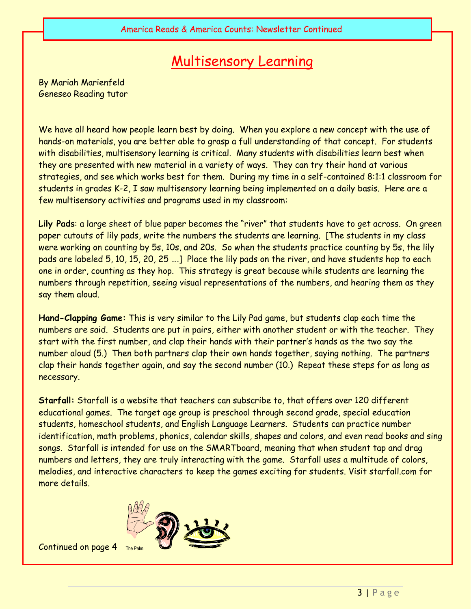### Multisensory Learning

By Mariah Marienfeld Geneseo Reading tutor

We have all heard how people learn best by doing. When you explore a new concept with the use of hands-on materials, you are better able to grasp a full understanding of that concept. For students with disabilities, multisensory learning is critical. Many students with disabilities learn best when they are presented with new material in a variety of ways. They can try their hand at various strategies, and see which works best for them. During my time in a self-contained 8:1:1 classroom for students in grades K-2, I saw multisensory learning being implemented on a daily basis. Here are a few multisensory activities and programs used in my classroom:

**Lily Pads**: a large sheet of blue paper becomes the "river" that students have to get across. On green paper cutouts of lily pads, write the numbers the students are learning. [The students in my class were working on counting by 5s, 10s, and 20s. So when the students practice counting by 5s, the lily pads are labeled 5, 10, 15, 20, 25 ….] Place the lily pads on the river, and have students hop to each one in order, counting as they hop. This strategy is great because while students are learning the numbers through repetition, seeing visual representations of the numbers, and hearing them as they say them aloud.

**Hand-Clapping Game:** This is very similar to the Lily Pad game, but students clap each time the numbers are said. Students are put in pairs, either with another student or with the teacher. They start with the first number, and clap their hands with their partner's hands as the two say the number aloud (5.) Then both partners clap their own hands together, saying nothing. The partners clap their hands together again, and say the second number (10.) Repeat these steps for as long as necessary.

**Starfall:** Starfall is a website that teachers can subscribe to, that offers over 120 different educational games. The target age group is preschool through second grade, special education students, homeschool students, and English Language Learners. Students can practice number identification, math problems, phonics, calendar skills, shapes and colors, and even read books and sing songs. Starfall is intended for use on the SMARTboard, meaning that when student tap and drag numbers and letters, they are truly interacting with the game. Starfall uses a multitude of colors, melodies, and interactive characters to keep the games exciting for students. Visit starfall.com for more details.



Continued on page 4